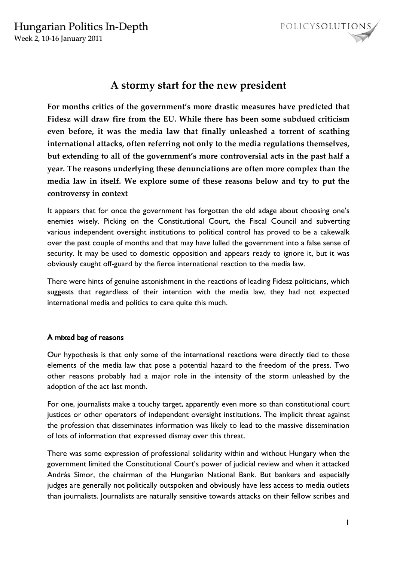

# **A stormy start for the new president**

**For months critics of the government's more drastic measures have predicted that Fidesz will draw fire from the EU. While there has been some subdued criticism even before, it was the media law that finally unleashed a torrent of scathing international attacks, often referring not only to the media regulations themselves, but extending to all of the government's more controversial acts in the past half a year. The reasons underlying these denunciations are often more complex than the media law in itself. We explore some of these reasons below and try to put the controversy in context**

It appears that for once the government has forgotten the old adage about choosing one's enemies wisely. Picking on the Constitutional Court, the Fiscal Council and subverting various independent oversight institutions to political control has proved to be a cakewalk over the past couple of months and that may have lulled the government into a false sense of security. It may be used to domestic opposition and appears ready to ignore it, but it was obviously caught off-guard by the fierce international reaction to the media law.

There were hints of genuine astonishment in the reactions of leading Fidesz politicians, which suggests that regardless of their intention with the media law, they had not expected international media and politics to care quite this much.

## A mixed bag of reasons

Our hypothesis is that only some of the international reactions were directly tied to those elements of the media law that pose a potential hazard to the freedom of the press. Two other reasons probably had a major role in the intensity of the storm unleashed by the adoption of the act last month.

For one, journalists make a touchy target, apparently even more so than constitutional court justices or other operators of independent oversight institutions. The implicit threat against the profession that disseminates information was likely to lead to the massive dissemination of lots of information that expressed dismay over this threat.

There was some expression of professional solidarity within and without Hungary when the government limited the Constitutional Court's power of judicial review and when it attacked András Simor, the chairman of the Hungarian National Bank. But bankers and especially judges are generally not politically outspoken and obviously have less access to media outlets than journalists. Journalists are naturally sensitive towards attacks on their fellow scribes and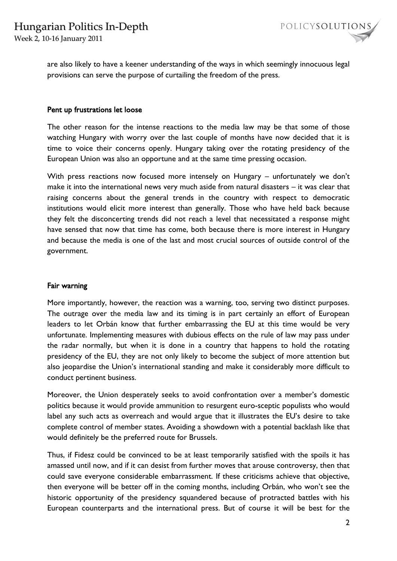



are also likely to have a keener understanding of the ways in which seemingly innocuous legal provisions can serve the purpose of curtailing the freedom of the press.

#### Pent up frustrations let loose

The other reason for the intense reactions to the media law may be that some of those watching Hungary with worry over the last couple of months have now decided that it is time to voice their concerns openly. Hungary taking over the rotating presidency of the European Union was also an opportune and at the same time pressing occasion.

With press reactions now focused more intensely on Hungary – unfortunately we don't make it into the international news very much aside from natural disasters – it was clear that raising concerns about the general trends in the country with respect to democratic institutions would elicit more interest than generally. Those who have held back because they felt the disconcerting trends did not reach a level that necessitated a response might have sensed that now that time has come, both because there is more interest in Hungary and because the media is one of the last and most crucial sources of outside control of the government.

### Fair warning

More importantly, however, the reaction was a warning, too, serving two distinct purposes. The outrage over the media law and its timing is in part certainly an effort of European leaders to let Orbán know that further embarrassing the EU at this time would be very unfortunate. Implementing measures with dubious effects on the rule of law may pass under the radar normally, but when it is done in a country that happens to hold the rotating presidency of the EU, they are not only likely to become the subject of more attention but also jeopardise the Union's international standing and make it considerably more difficult to conduct pertinent business.

Moreover, the Union desperately seeks to avoid confrontation over a member's domestic politics because it would provide ammunition to resurgent euro-sceptic populists who would label any such acts as overreach and would argue that it illustrates the EU's desire to take complete control of member states. Avoiding a showdown with a potential backlash like that would definitely be the preferred route for Brussels.

Thus, if Fidesz could be convinced to be at least temporarily satisfied with the spoils it has amassed until now, and if it can desist from further moves that arouse controversy, then that could save everyone considerable embarrassment. If these criticisms achieve that objective, then everyone will be better off in the coming months, including Orbán, who won't see the historic opportunity of the presidency squandered because of protracted battles with his European counterparts and the international press. But of course it will be best for the